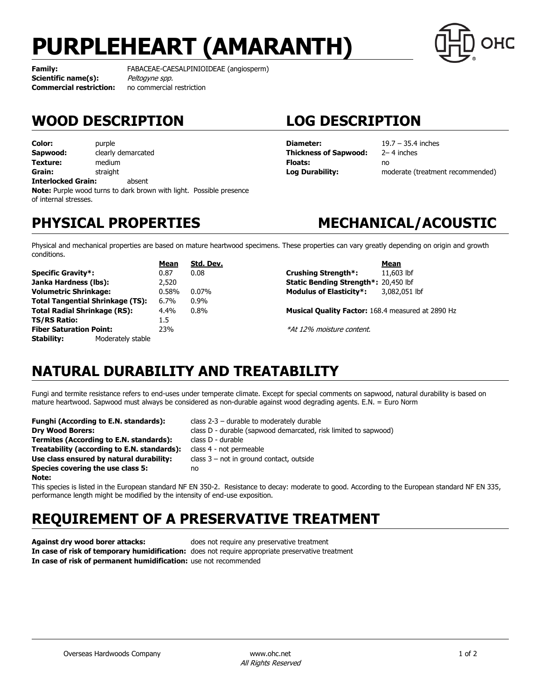# **PURPLEHEART (AMARANTH)**



**Scientific name(s):** Peltogyne spp. **Commercial restriction:** no commercial restriction

**Family:** FABACEAE-CAESALPINIOIDEAE (angiosperm)

## **WOOD DESCRIPTION LOG DESCRIPTION**

**Color:** purple **Sapwood:** clearly demarcated **Texture:** medium **Grain:** straight **Interlocked Grain:** absent **Note:** Purple wood turns to dark brown with light. Possible presence of internal stresses.

**Diameter:** 19.7 – 35.4 inches **Thickness of Sapwood:** 2– 4 inches **Floats:** no

**Log Durability:** moderate (treatment recommended)

## **PHYSICAL PROPERTIES MECHANICAL/ACOUSTIC**

Physical and mechanical properties are based on mature heartwood specimens. These properties can vary greatly depending on origin and growth conditions.

|                                         |                   | Mean    | Std. Dev. |                                                          | Mean          |
|-----------------------------------------|-------------------|---------|-----------|----------------------------------------------------------|---------------|
| <b>Specific Gravity*:</b>               |                   | 0.87    | 0.08      | Crushing Strength*:                                      | 11,603 lbf    |
| Janka Hardness (lbs):                   |                   | 2,520   |           | <b>Static Bending Strength*: 20,450 lbf</b>              |               |
| <b>Volumetric Shrinkage:</b>            |                   | 0.58%   | $0.07\%$  | <b>Modulus of Elasticity*:</b>                           | 3,082,051 lbf |
| <b>Total Tangential Shrinkage (TS):</b> |                   | $6.7\%$ | $0.9\%$   |                                                          |               |
| <b>Total Radial Shrinkage (RS):</b>     |                   | 4.4%    | $0.8\%$   | <b>Musical Quality Factor: 168.4 measured at 2890 Hz</b> |               |
| <b>TS/RS Ratio:</b>                     |                   | 1.5     |           |                                                          |               |
| <b>Fiber Saturation Point:</b>          |                   | 23%     |           | *At 12% moisture content.                                |               |
| Stability:                              | Moderately stable |         |           |                                                          |               |

## **NATURAL DURABILITY AND TREATABILITY**

Fungi and termite resistance refers to end-uses under temperate climate. Except for special comments on sapwood, natural durability is based on mature heartwood. Sapwood must always be considered as non-durable against wood degrading agents. E.N. = Euro Norm

| Funghi (According to E.N. standards):       | class $2-3$ – durable to moderately durable                     |
|---------------------------------------------|-----------------------------------------------------------------|
| <b>Dry Wood Borers:</b>                     | class D - durable (sapwood demarcated, risk limited to sapwood) |
| Termites (According to E.N. standards):     | class D - durable                                               |
| Treatability (according to E.N. standards): | class 4 - not permeable                                         |
| Use class ensured by natural durability:    | class $3$ – not in ground contact, outside                      |
| Species covering the use class 5:           | no                                                              |
| Note:                                       |                                                                 |

This species is listed in the European standard NF EN 350-2. Resistance to decay: moderate to good. According to the European standard NF EN 335, performance length might be modified by the intensity of end-use exposition.

## **REQUIREMENT OF A PRESERVATIVE TREATMENT**

**Against dry wood borer attacks:** does not require any preservative treatment **In case of risk of temporary humidification:** does not require appropriate preservative treatment **In case of risk of permanent humidification:** use not recommended